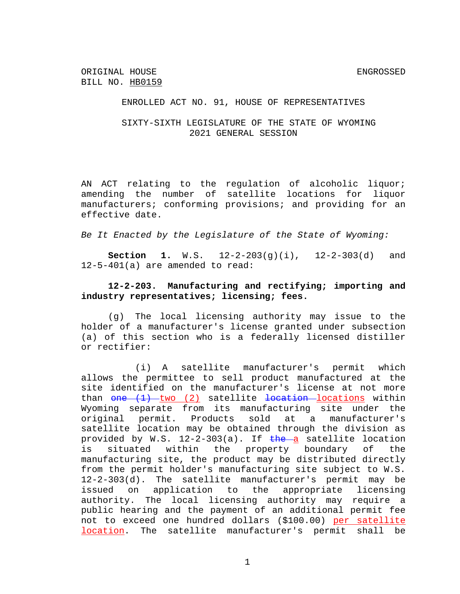### ENROLLED ACT NO. 91, HOUSE OF REPRESENTATIVES

### SIXTY-SIXTH LEGISLATURE OF THE STATE OF WYOMING 2021 GENERAL SESSION

AN ACT relating to the regulation of alcoholic liquor; amending the number of satellite locations for liquor manufacturers; conforming provisions; and providing for an effective date.

*Be It Enacted by the Legislature of the State of Wyoming:*

**Section 1.** W.S. 12-2-203(g)(i), 12-2-303(d) and 12-5-401(a) are amended to read:

### **12-2-203. Manufacturing and rectifying; importing and industry representatives; licensing; fees.**

(g) The local licensing authority may issue to the holder of a manufacturer's license granted under subsection (a) of this section who is a federally licensed distiller or rectifier:

(i) A satellite manufacturer's permit which allows the permittee to sell product manufactured at the site identified on the manufacturer's license at not more than  $one$   $(1)$  two  $(2)$  satellite  $1$ ocation locations within Wyoming separate from its manufacturing site under the original permit. Products sold at a manufacturer's satellite location may be obtained through the division as provided by W.S.  $12-2-303(a)$ . If  $the-a$  satellite location is situated within the property boundary of the manufacturing site, the product may be distributed directly from the permit holder's manufacturing site subject to W.S. 12-2-303(d). The satellite manufacturer's permit may be issued on application to the appropriate licensing authority. The local licensing authority may require a public hearing and the payment of an additional permit fee not to exceed one hundred dollars (\$100.00) per satellite location. The satellite manufacturer's permit shall be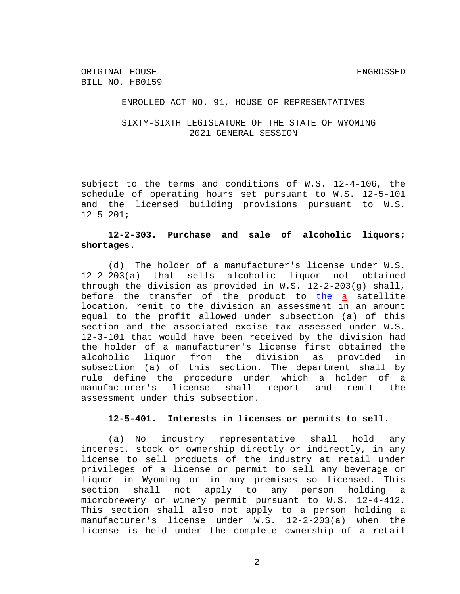#### ENROLLED ACT NO. 91, HOUSE OF REPRESENTATIVES

## SIXTY-SIXTH LEGISLATURE OF THE STATE OF WYOMING 2021 GENERAL SESSION

subject to the terms and conditions of W.S. 12-4-106, the schedule of operating hours set pursuant to W.S. 12-5-101 and the licensed building provisions pursuant to W.S.  $12 - 5 - 201;$ 

## **12-2-303. Purchase and sale of alcoholic liquors; shortages.**

(d) The holder of a manufacturer's license under W.S. 12-2-203(a) that sells alcoholic liquor not obtained through the division as provided in W.S.  $12-2-203(q)$  shall, before the transfer of the product to  $\frac{1}{2}$  satellite location, remit to the division an assessment in an amount equal to the profit allowed under subsection (a) of this section and the associated excise tax assessed under W.S. 12-3-101 that would have been received by the division had the holder of a manufacturer's license first obtained the alcoholic liquor from the division as provided in subsection (a) of this section. The department shall by rule define the procedure under which a holder of a manufacturer's license shall report and remit the assessment under this subsection.

# **12-5-401. Interests in licenses or permits to sell.**

(a) No industry representative shall hold any interest, stock or ownership directly or indirectly, in any license to sell products of the industry at retail under privileges of a license or permit to sell any beverage or liquor in Wyoming or in any premises so licensed. This section shall not apply to any person holding a microbrewery or winery permit pursuant to W.S. 12-4-412. This section shall also not apply to a person holding a manufacturer's license under W.S. 12-2-203(a) when the license is held under the complete ownership of a retail